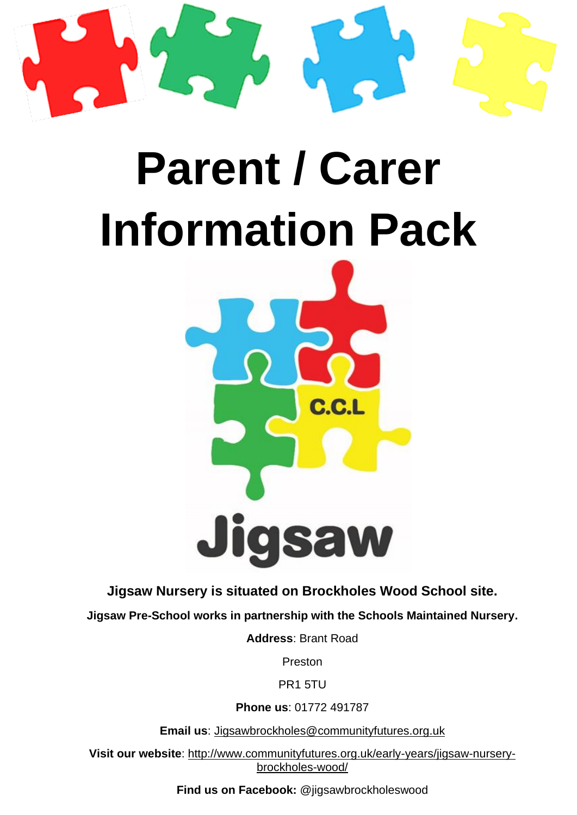

# **Parent / Carer Information Pack**



**Jigsaw Nursery is situated on Brockholes Wood School site.**

**Jigsaw Pre-School works in partnership with the Schools Maintained Nursery.**

**Address**: Brant Road

Preston

PR1 5TU

**Phone us**: 01772 491787

**Email us**: [Jigsawbrockholes@communityfutures.org.uk](mailto:Jigsawbrockholes@communityfutures.org.uk)

**Visit our website**: [http://www.communityfutures.org.uk/early-years/jigsaw-nursery](http://www.communityfutures.org.uk/early-years/jigsaw-nursery-brockholes-wood/)[brockholes-wood/](http://www.communityfutures.org.uk/early-years/jigsaw-nursery-brockholes-wood/)

**Find us on Facebook:** @jigsawbrockholeswood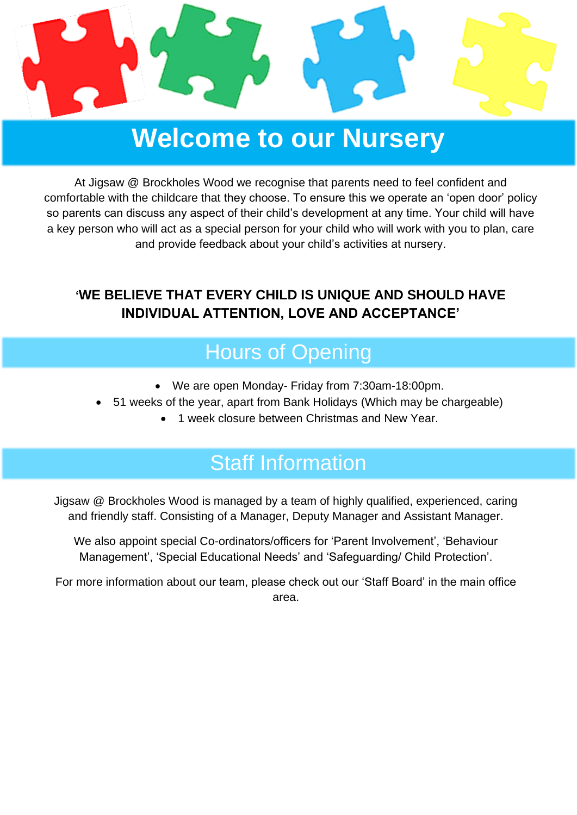

## **Welcome to our Nursery**

At Jigsaw @ Brockholes Wood we recognise that parents need to feel confident and comfortable with the childcare that they choose. To ensure this we operate an 'open door' policy so parents can discuss any aspect of their child's development at any time. Your child will have a key person who will act as a special person for your child who will work with you to plan, care and provide feedback about your child's activities at nursery.

#### **'WE BELIEVE THAT EVERY CHILD IS UNIQUE AND SHOULD HAVE INDIVIDUAL ATTENTION, LOVE AND ACCEPTANCE'**

### Hours of Opening

- We are open Monday- Friday from 7:30am-18:00pm.
- 51 weeks of the year, apart from Bank Holidays (Which may be chargeable)
	- 1 week closure between Christmas and New Year.

### Staff Information

Jigsaw @ Brockholes Wood is managed by a team of highly qualified, experienced, caring and friendly staff. Consisting of a Manager, Deputy Manager and Assistant Manager.

We also appoint special Co-ordinators/officers for 'Parent Involvement', 'Behaviour Management', 'Special Educational Needs' and 'Safeguarding/ Child Protection'.

For more information about our team, please check out our 'Staff Board' in the main office area.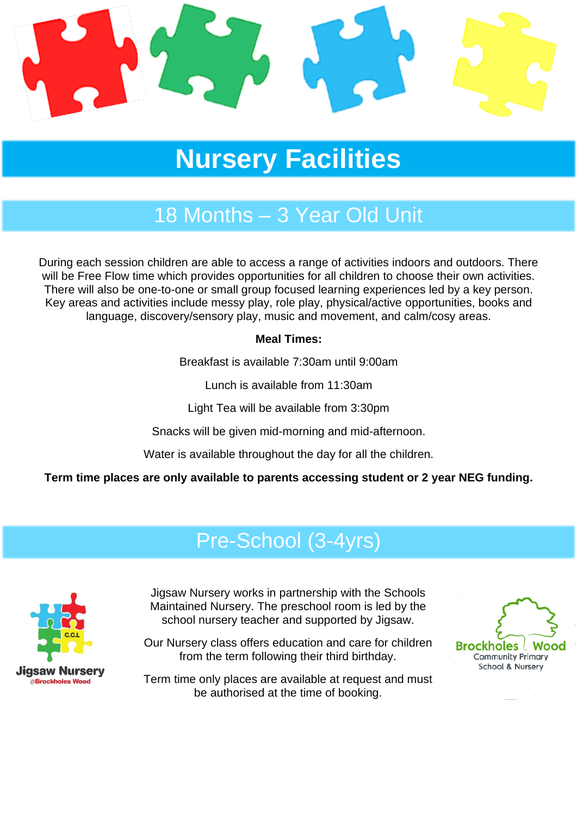

# **Nursery Facilities**

### 18 Months – 3 Year Old Unit

During each session children are able to access a range of activities indoors and outdoors. There will be Free Flow time which provides opportunities for all children to choose their own activities. There will also be one-to-one or small group focused learning experiences led by a key person. Key areas and activities include messy play, role play, physical/active opportunities, books and language, discovery/sensory play, music and movement, and calm/cosy areas.

#### **Meal Times:**

Breakfast is available 7:30am until 9:00am

Lunch is available from 11:30am

Light Tea will be available from 3:30pm

Snacks will be given mid-morning and mid-afternoon.

Water is available throughout the day for all the children.

**Term time places are only available to parents accessing student or 2 year NEG funding.**

### Pre-School (3-4yrs)



Jigsaw Nursery works in partnership with the Schools Maintained Nursery. The preschool room is led by the school nursery teacher and supported by Jigsaw.

Our Nursery class offers education and care for children from the term following their third birthday.

Term time only places are available at request and must be authorised at the time of booking.

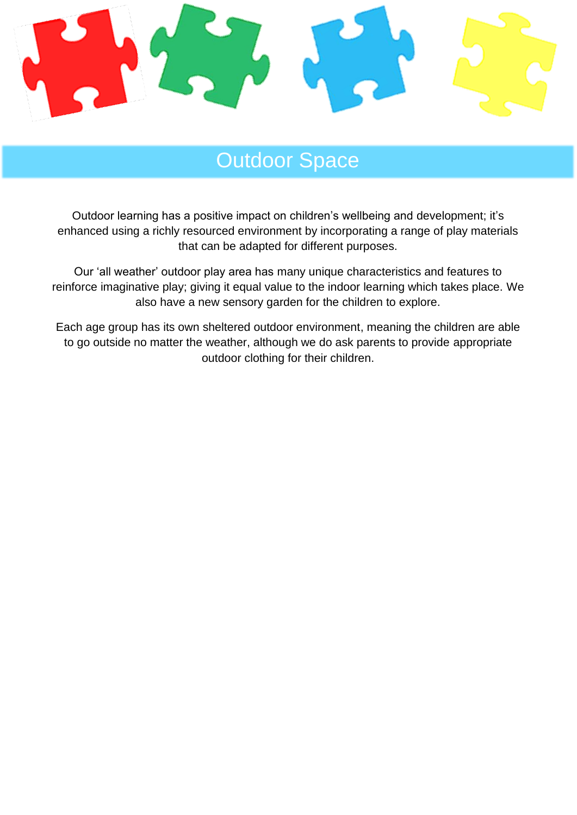

### Outdoor Space

Outdoor learning has a positive impact on children's wellbeing and development; it's enhanced using a richly resourced environment by incorporating a range of play materials that can be adapted for different purposes.

Our 'all weather' outdoor play area has many unique characteristics and features to reinforce imaginative play; giving it equal value to the indoor learning which takes place. We also have a new sensory garden for the children to explore.

Each age group has its own sheltered outdoor environment, meaning the children are able to go outside no matter the weather, although we do ask parents to provide appropriate outdoor clothing for their children.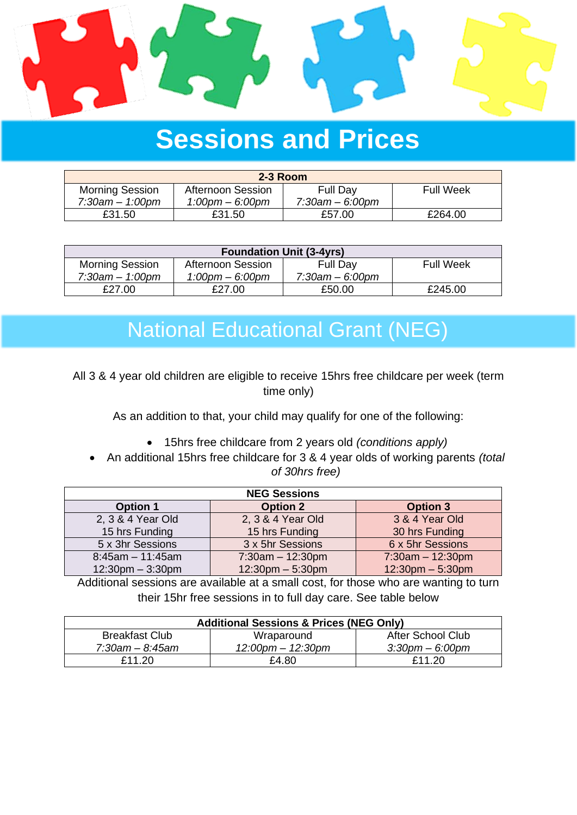

# **Sessions and Prices**

| $2-3$ Room             |                      |                      |                  |  |  |
|------------------------|----------------------|----------------------|------------------|--|--|
| <b>Morning Session</b> | Afternoon Session    | <b>Full Day</b>      | <b>Full Week</b> |  |  |
| $7:30$ am $-1:00$ pm   | $1:00$ pm $-6:00$ pm | $7:30$ am $-6:00$ pm |                  |  |  |
| £31.50                 | £31.50               | £57.00               | £264.00          |  |  |

| <b>Foundation Unit (3-4yrs)</b> |                                   |                      |                  |  |  |
|---------------------------------|-----------------------------------|----------------------|------------------|--|--|
| <b>Morning Session</b>          | Afternoon Session                 | Full Day             | <b>Full Week</b> |  |  |
| $7:30$ am $-1:00$ pm            | $1:00 \text{pm} - 6:00 \text{pm}$ | $7:30$ am $-6:00$ pm |                  |  |  |
| £27.00                          | £27.00                            | £50.00               | £245.00          |  |  |

### National Educational Grant (NEG)

All 3 & 4 year old children are eligible to receive 15hrs free childcare per week (term time only)

As an addition to that, your child may qualify for one of the following:

- 15hrs free childcare from 2 years old *(conditions apply)*
- An additional 15hrs free childcare for 3 & 4 year olds of working parents *(total of 30hrs free)*

| <b>NEG Sessions</b>   |                       |                       |  |  |
|-----------------------|-----------------------|-----------------------|--|--|
| <b>Option 1</b>       | <b>Option 2</b>       | <b>Option 3</b>       |  |  |
| 2, 3 & 4 Year Old     | 2, 3 & 4 Year Old     | 3 & 4 Year Old        |  |  |
| 15 hrs Funding        | 15 hrs Funding        | 30 hrs Funding        |  |  |
| 5 x 3hr Sessions      | 3 x 5hr Sessions      | 6 x 5hr Sessions      |  |  |
| $8:45am - 11:45am$    | $7:30am - 12:30pm$    | $7:30am - 12:30pm$    |  |  |
| $12:30$ pm $-3:30$ pm | $12:30$ pm $-5:30$ pm | $12:30$ pm $-5:30$ pm |  |  |

Additional sessions are available at a small cost, for those who are wanting to turn their 15hr free sessions in to full day care. See table below

| <b>Additional Sessions &amp; Prices (NEG Only)</b> |                         |                          |  |  |
|----------------------------------------------------|-------------------------|--------------------------|--|--|
| <b>Breakfast Club</b>                              | Wraparound              | <b>After School Club</b> |  |  |
| 7:30am – 8:45am                                    | $12:00$ pm $- 12:30$ pm | $3:30$ pm $-6:00$ pm     |  |  |
| £11.20                                             | £4.80                   | £11.20                   |  |  |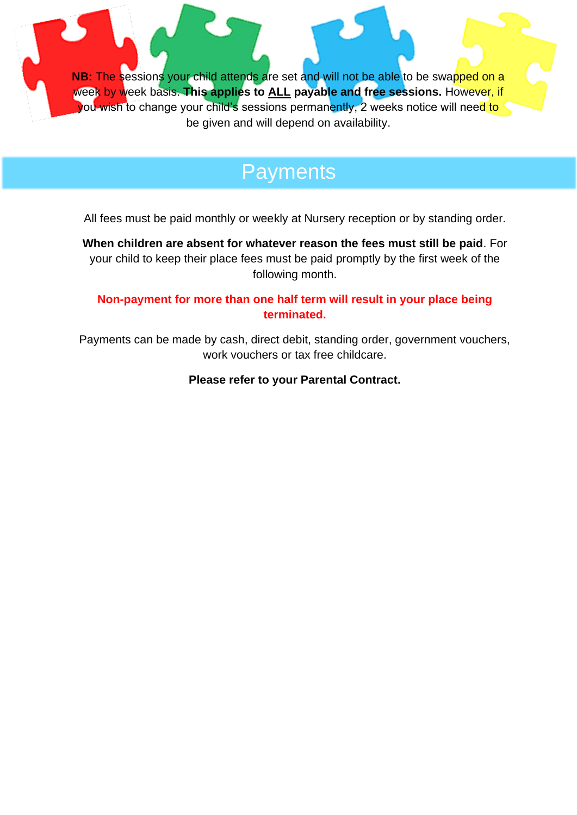**NB:** The sessions your child attends are set and will not be able to be swapped on a week by week basis. **This applies to ALL payable and free sessions.** However, if you wish to change your child's sessions permanently, 2 weeks notice will need to be given and will depend on availability.

### **Payments**

All fees must be paid monthly or weekly at Nursery reception or by standing order.

**When children are absent for whatever reason the fees must still be paid**. For your child to keep their place fees must be paid promptly by the first week of the following month.

#### **Non-payment for more than one half term will result in your place being terminated.**

Payments can be made by cash, direct debit, standing order, government vouchers, work vouchers or tax free childcare.

**Please refer to your Parental Contract.**